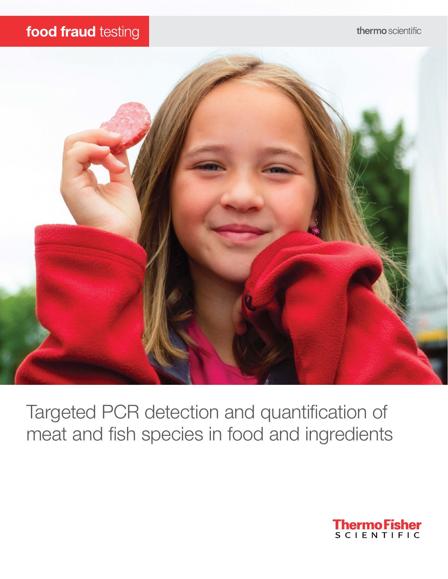## food fraud testing



Targeted PCR detection and quantification of meat and fish species in food and ingredients

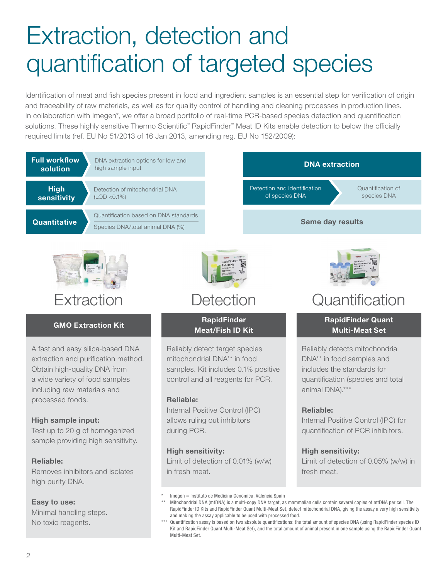# Extraction, detection and quantification of targeted species

Identification of meat and fish species present in food and ingredient samples is an essential step for verification of origin and traceability of raw materials, as well as for quality control of handling and cleaning processes in production lines. In collaboration with Imegen\*, we offer a broad portfolio of real-time PCR-based species detection and quantification solutions. These highly sensitive Thermo Scientific™ RapidFinder™ Meat ID Kits enable detection to below the officially required limits (ref. EU No 51/2013 of 16 Jan 2013, amending reg. EU No 152/2009):



#### High sample input:

Test up to 20 g of homogenized sample providing high sensitivity.

#### Reliable:

Removes inhibitors and isolates high purity DNA.

#### Easy to use:

Minimal handling steps. No toxic reagents.

Internal Positive Control (IPC) allows ruling out inhibitors during PCR.

#### High sensitivity:

Limit of detection of 0.01% (w/w) in fresh meat.

Internal Positive Control (IPC) for quantification of PCR inhibitors.

Limit of detection of 0.05% (w/w) in

High sensitivity:

fresh meat.

Imegen = Instituto de Medicina Genomica, Valencia Spain

Mitochondrial DNA (mtDNA) is a multi-copy DNA target, as mammalian cells contain several copies of mtDNA per cell. The RapidFinder ID Kits and RapidFinder Quant Multi-Meat Set, detect mitochondrial DNA, giving the assay a very high sensitivity and making the assay applicable to be used with processed food.

<sup>\*\*\*</sup> Quantification assay is based on two absolute quantifications: the total amount of species DNA (using RapidFinder species ID Kit and RapidFinder Quant Multi-Meat Set), and the total amount of animal present in one sample using the RapidFinder Quant Multi-Meat Set.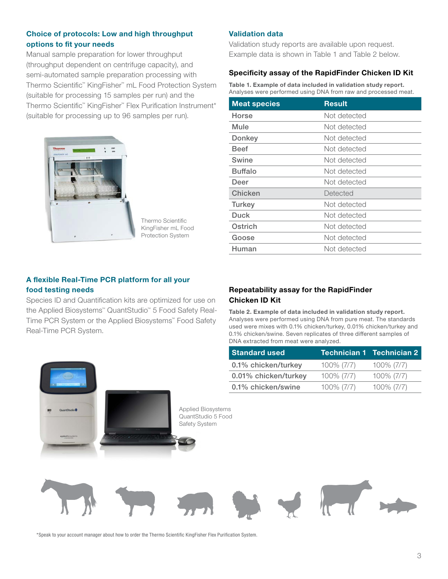#### Choice of protocols: Low and high throughput options to fit your needs

Manual sample preparation for lower throughput (throughput dependent on centrifuge capacity), and semi-automated sample preparation processing with Thermo Scientific™ KingFisher™ mL Food Protection System (suitable for processing 15 samples per run) and the Thermo Scientific™ KingFisher™ Flex Purification Instrument\* (suitable for processing up to 96 samples per run).



Thermo Scientific KingFisher mL Food Protection System

#### Validation data

Validation study reports are available upon request. Example data is shown in Table 1 and Table 2 below.

#### Specificity assay of the RapidFinder Chicken ID Kit

Table 1. Example of data included in validation study report. Analyses were performed using DNA from raw and processed meat.

| <b>Meat species</b> | <b>Result</b> |  |
|---------------------|---------------|--|
| Horse               | Not detected  |  |
| Mule                | Not detected  |  |
| Donkey              | Not detected  |  |
| <b>Beef</b>         | Not detected  |  |
| Swine               | Not detected  |  |
| <b>Buffalo</b>      | Not detected  |  |
| Deer                | Not detected  |  |
| Chicken             | Detected      |  |
| Turkey              | Not detected  |  |
| <b>Duck</b>         | Not detected  |  |
| Ostrich             | Not detected  |  |
| Goose               | Not detected  |  |
| Human               | Not detected  |  |

#### A flexible Real-Time PCR platform for all your food testing needs

Species ID and Quantification kits are optimized for use on the Applied Biosystems™ QuantStudio™ 5 Food Safety Real-Time PCR System or the Applied Biosystems™ Food Safety Real-Time PCR System.

#### Repeatability assay for the RapidFinder Chicken ID Kit

Table 2. Example of data included in validation study report. Analyses were performed using DNA from pure meat. The standards used were mixes with 0.1% chicken/turkey, 0.01% chicken/turkey and 0.1% chicken/swine. Seven replicates of three different samples of DNA extracted from meat were analyzed.

| <b>Standard used</b> |               | <b>Technician 1 Technician 2</b> |
|----------------------|---------------|----------------------------------|
| 0.1% chicken/turkey  | $100\% (7/7)$ | $100\% (7/7)$                    |
| 0.01% chicken/turkey | $100\%$ (7/7) | $100\% (7/7)$                    |
| 0.1% chicken/swine   | 100% (7/7)    | 100% (7/7)                       |



\*Speak to your account manager about how to order the Thermo Scientific KingFisher Flex Purification System.